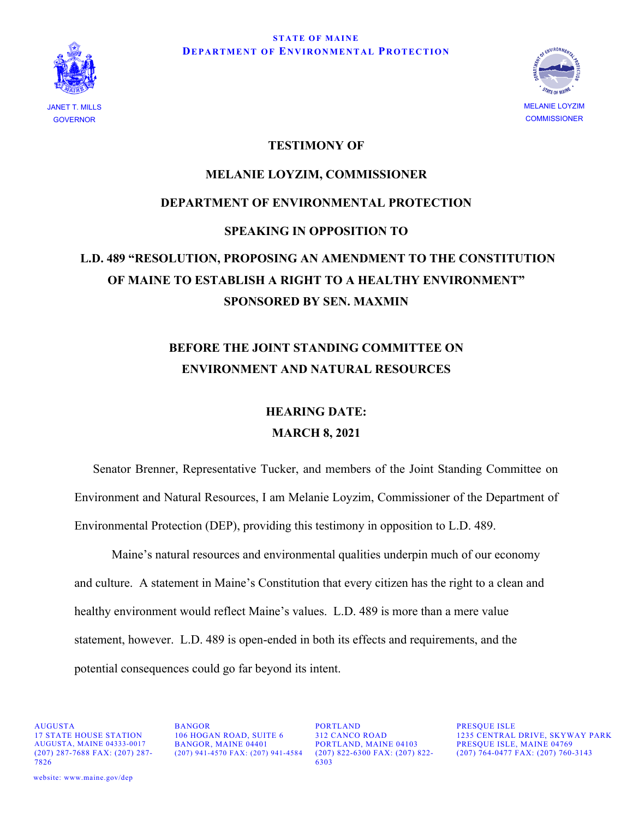



## **TESTIMONY OF**

## **MELANIE LOYZIM, COMMISSIONER DEPARTMENT OF ENVIRONMENTAL PROTECTION SPEAKING IN OPPOSITION TO L.D. 489 "RESOLUTION, PROPOSING AN AMENDMENT TO THE CONSTITUTION OF MAINE TO ESTABLISH A RIGHT TO A HEALTHY ENVIRONMENT" SPONSORED BY SEN. MAXMIN**

## **BEFORE THE JOINT STANDING COMMITTEE ON ENVIRONMENT AND NATURAL RESOURCES**

## **HEARING DATE: MARCH 8, 2021**

Senator Brenner, Representative Tucker, and members of the Joint Standing Committee on Environment and Natural Resources, I am Melanie Loyzim, Commissioner of the Department of Environmental Protection (DEP), providing this testimony in opposition to L.D. 489.

Maine's natural resources and environmental qualities underpin much of our economy and culture. A statement in Maine's Constitution that every citizen has the right to a clean and healthy environment would reflect Maine's values. L.D. 489 is more than a mere value statement, however. L.D. 489 is open-ended in both its effects and requirements, and the potential consequences could go far beyond its intent.

(207) 287-7688 FAX: (207) 287- 7826

AUGUSTA BANGOR PORTLAND PRESQUE ISLE (207) 941-4570 FAX: (207) 941-4584

PORTLAND, MAINE 04103<br>(207) 822-6300 FAX: (207) 822- (207) 764-0477 FAX: (207) 760-6303

17 STATE HOUSE STATION 106 HOGAN ROAD, SUITE 6 312 CANCO ROAD 1235 CENTRAL DRIVE, SKYWAY PARK AUGUSTA, MAINE 04333-0017 BANGOR, MAINE 04401 PORTLAND, MAINE 04103 (207) 764-0477 FAX: (207) 760-3143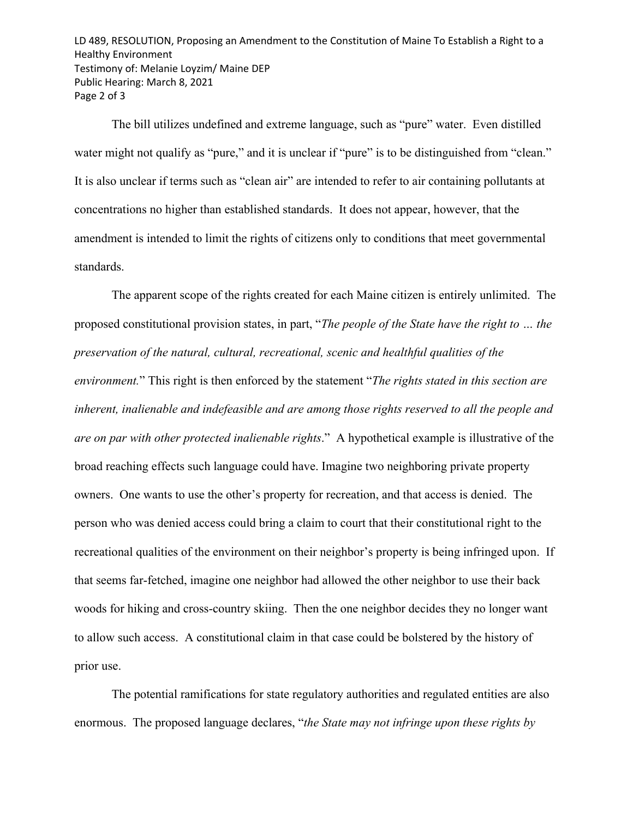LD 489, RESOLUTION, Proposing an Amendment to the Constitution of Maine To Establish a Right to a Healthy Environment Testimony of: Melanie Loyzim/ Maine DEP Public Hearing: March 8, 2021 Page 2 of 3

The bill utilizes undefined and extreme language, such as "pure" water. Even distilled water might not qualify as "pure," and it is unclear if "pure" is to be distinguished from "clean." It is also unclear if terms such as "clean air" are intended to refer to air containing pollutants at concentrations no higher than established standards. It does not appear, however, that the amendment is intended to limit the rights of citizens only to conditions that meet governmental standards.

The apparent scope of the rights created for each Maine citizen is entirely unlimited. The proposed constitutional provision states, in part, "*The people of the State have the right to … the preservation of the natural, cultural, recreational, scenic and healthful qualities of the environment.*" This right is then enforced by the statement "*The rights stated in this section are inherent, inalienable and indefeasible and are among those rights reserved to all the people and are on par with other protected inalienable rights*." A hypothetical example is illustrative of the broad reaching effects such language could have. Imagine two neighboring private property owners. One wants to use the other's property for recreation, and that access is denied. The person who was denied access could bring a claim to court that their constitutional right to the recreational qualities of the environment on their neighbor's property is being infringed upon. If that seems far-fetched, imagine one neighbor had allowed the other neighbor to use their back woods for hiking and cross-country skiing. Then the one neighbor decides they no longer want to allow such access. A constitutional claim in that case could be bolstered by the history of prior use.

The potential ramifications for state regulatory authorities and regulated entities are also enormous. The proposed language declares, "*the State may not infringe upon these rights by*